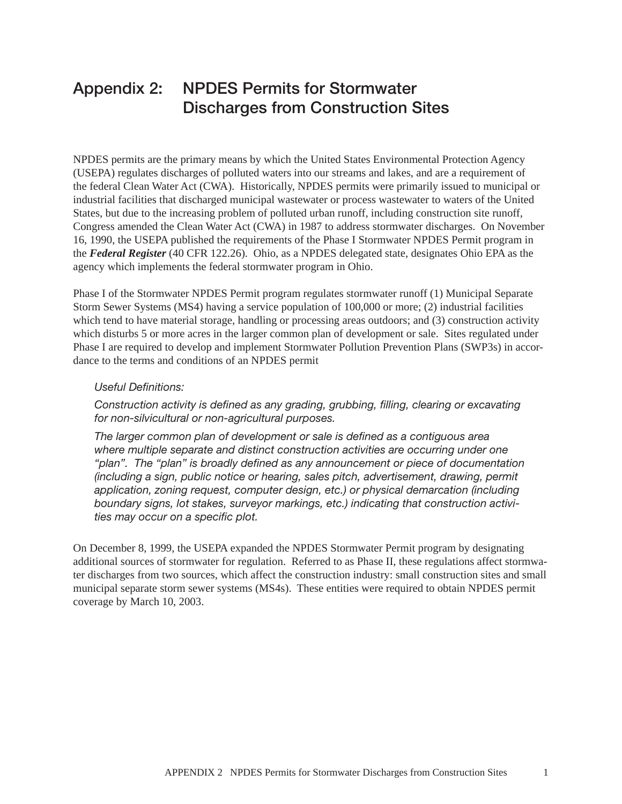# Appendix 2: NPDES Permits for Stormwater Discharges from Construction Sites

NPDES permits are the primary means by which the United States Environmental Protection Agency (USEPA) regulates discharges of polluted waters into our streams and lakes, and are a requirement of the federal Clean Water Act (CWA). Historically, NPDES permits were primarily issued to municipal or industrial facilities that discharged municipal wastewater or process wastewater to waters of the United States, but due to the increasing problem of polluted urban runoff, including construction site runoff, Congress amended the Clean Water Act (CWA) in 1987 to address stormwater discharges. On November 16, 1990, the USEPA published the requirements of the Phase I Stormwater NPDES Permit program in the *Federal Register* (40 CFR 122.26). Ohio, as a NPDES delegated state, designates Ohio EPA as the agency which implements the federal stormwater program in Ohio.

Phase I of the Stormwater NPDES Permit program regulates stormwater runoff (1) Municipal Separate Storm Sewer Systems (MS4) having a service population of 100,000 or more; (2) industrial facilities which tend to have material storage, handling or processing areas outdoors; and (3) construction activity which disturbs 5 or more acres in the larger common plan of development or sale. Sites regulated under Phase I are required to develop and implement Stormwater Pollution Prevention Plans (SWP3s) in accordance to the terms and conditions of an NPDES permit

## *Useful Definitions:*

*Construction activity is defined as any grading, grubbing, filling, clearing or excavating for non-silvicultural or non-agricultural purposes.* 

*The larger common plan of development or sale is defined as a contiguous area where multiple separate and distinct construction activities are occurring under one "plan". The "plan" is broadly defined as any announcement or piece of documentation (including a sign, public notice or hearing, sales pitch, advertisement, drawing, permit application, zoning request, computer design, etc.) or physical demarcation (including boundary signs, lot stakes, surveyor markings, etc.) indicating that construction activities may occur on a specific plot.*

On December 8, 1999, the USEPA expanded the NPDES Stormwater Permit program by designating additional sources of stormwater for regulation. Referred to as Phase II, these regulations affect stormwater discharges from two sources, which affect the construction industry: small construction sites and small municipal separate storm sewer systems (MS4s). These entities were required to obtain NPDES permit coverage by March 10, 2003.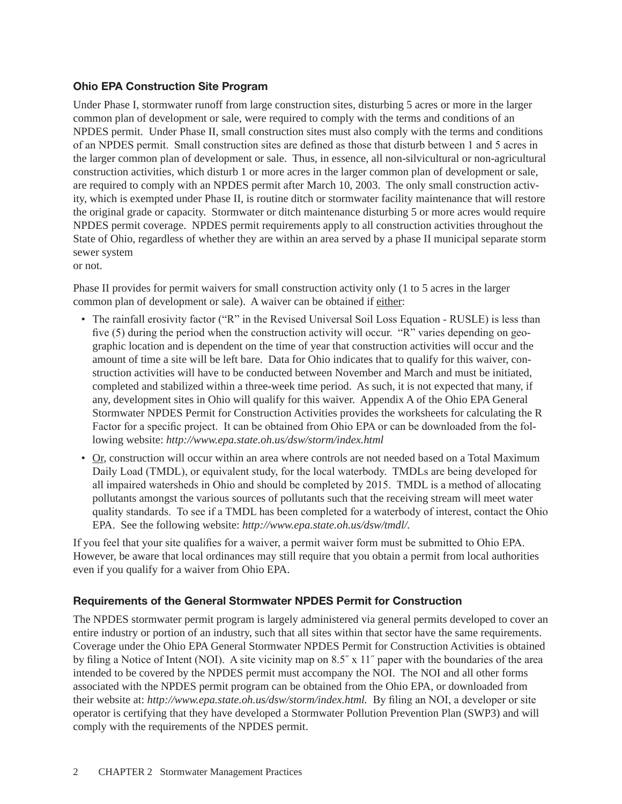# Ohio EPA Construction Site Program

Under Phase I, stormwater runoff from large construction sites, disturbing 5 acres or more in the larger common plan of development or sale, were required to comply with the terms and conditions of an NPDES permit. Under Phase II, small construction sites must also comply with the terms and conditions of an NPDES permit. Small construction sites are defined as those that disturb between 1 and 5 acres in the larger common plan of development or sale. Thus, in essence, all non-silvicultural or non-agricultural construction activities, which disturb 1 or more acres in the larger common plan of development or sale, are required to comply with an NPDES permit after March 10, 2003. The only small construction activity, which is exempted under Phase II, is routine ditch or stormwater facility maintenance that will restore the original grade or capacity. Stormwater or ditch maintenance disturbing 5 or more acres would require NPDES permit coverage. NPDES permit requirements apply to all construction activities throughout the State of Ohio, regardless of whether they are within an area served by a phase II municipal separate storm sewer system

or not.

Phase II provides for permit waivers for small construction activity only (1 to 5 acres in the larger common plan of development or sale). A waiver can be obtained if either:

- The rainfall erosivity factor ("R" in the Revised Universal Soil Loss Equation RUSLE) is less than five (5) during the period when the construction activity will occur. "R" varies depending on geographic location and is dependent on the time of year that construction activities will occur and the amount of time a site will be left bare. Data for Ohio indicates that to qualify for this waiver, construction activities will have to be conducted between November and March and must be initiated, completed and stabilized within a three-week time period. As such, it is not expected that many, if any, development sites in Ohio will qualify for this waiver. Appendix A of the Ohio EPA General Stormwater NPDES Permit for Construction Activities provides the worksheets for calculating the R Factor for a specific project. It can be obtained from Ohio EPA or can be downloaded from the following website: *http://www.epa.state.oh.us/dsw/storm/index.html*
- Or, construction will occur within an area where controls are not needed based on a Total Maximum Daily Load (TMDL), or equivalent study, for the local waterbody. TMDLs are being developed for all impaired watersheds in Ohio and should be completed by 2015. TMDL is a method of allocating pollutants amongst the various sources of pollutants such that the receiving stream will meet water quality standards. To see if a TMDL has been completed for a waterbody of interest, contact the Ohio EPA. See the following website: *http://www.epa.state.oh.us/dsw/tmdl/.*

If you feel that your site qualifies for a waiver, a permit waiver form must be submitted to Ohio EPA. However, be aware that local ordinances may still require that you obtain a permit from local authorities even if you qualify for a waiver from Ohio EPA.

# Requirements of the General Stormwater NPDES Permit for Construction

The NPDES stormwater permit program is largely administered via general permits developed to cover an entire industry or portion of an industry, such that all sites within that sector have the same requirements. Coverage under the Ohio EPA General Stormwater NPDES Permit for Construction Activities is obtained by filing a Notice of Intent (NOI). A site vicinity map on 8.5˝ x 11˝ paper with the boundaries of the area intended to be covered by the NPDES permit must accompany the NOI. The NOI and all other forms associated with the NPDES permit program can be obtained from the Ohio EPA, or downloaded from their website at: *http://www.epa.state.oh.us/dsw/storm/index.html.* By filing an NOI, a developer or site operator is certifying that they have developed a Stormwater Pollution Prevention Plan (SWP3) and will comply with the requirements of the NPDES permit.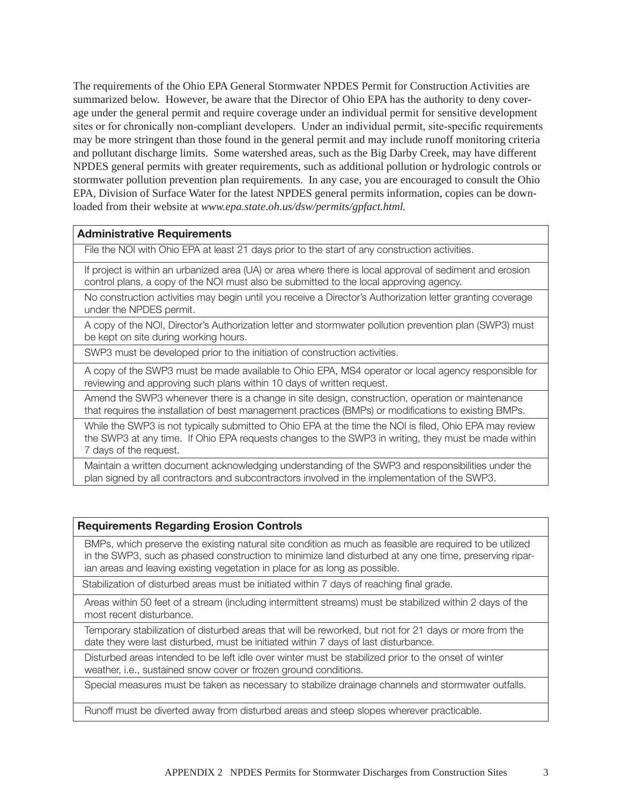The requirements of the Ohio EPA General Stormwater NPDES Permit for Construction Activities are summarized below. However, be aware that the Director of Ohio EPA has the authority to deny coverage under the general permit and require coverage under an individual permit for sensitive development sites or for chronically non-compliant developers. Under an individual permit, site-specific requirements may be more stringent than those found in the general permit and may include runoff monitoring criteria and pollutant discharge limits. Some watershed areas, such as the Big Darby Creek, may have different NPDES general permits with greater requirements, such as additional pollution or hydrologic controls or stormwater pollution prevention plan requirements. In any case, you are encouraged to consult the Ohio EPA, Division of Surface Water for the latest NPDES general permits information, copies can be downloaded from their website at *www.epa.state.oh.us/dsw/permits/gpfact.html.* 

## Administrative Requirements

File the NOI with Ohio EPA at least 21 days prior to the start of any construction activities.

If project is within an urbanized area (UA) or area where there is local approval of sediment and erosion control plans, a copy of the NOI must also be submitted to the local approving agency.

No construction activities may begin until you receive a Director's Authorization letter granting coverage under the NPDES permit.

A copy of the NOI, Director's Authorization letter and stormwater pollution prevention plan (SWP3) must be kept on site during working hours.

SWP3 must be developed prior to the initiation of construction activities.

A copy of the SWP3 must be made available to Ohio EPA, MS4 operator or local agency responsible for reviewing and approving such plans within 10 days of written request.

Amend the SWP3 whenever there is a change in site design, construction, operation or maintenance that requires the installation of best management practices (BMPs) or modifications to existing BMPs.

While the SWP3 is not typically submitted to Ohio EPA at the time the NOI is filed. Ohio EPA may review the SWP3 at any time. If Ohio EPA requests changes to the SWP3 in writing, they must be made within 7 days of the request.

Maintain a written document acknowledging understanding of the SWP3 and responsibilities under the plan signed by all contractors and subcontractors involved in the implementation of the SWP3.

## Requirements Regarding Erosion Controls

BMPs, which preserve the existing natural site condition as much as feasible are required to be utilized in the SWP3, such as phased construction to minimize land disturbed at any one time, preserving riparian areas and leaving existing vegetation in place for as long as possible.

Stabilization of disturbed areas must be initiated within 7 days of reaching final grade.

Areas within 50 feet of a stream (including intermittent streams) must be stabilized within 2 days of the most recent disturbance.

Temporary stabilization of disturbed areas that will be reworked, but not for 21 days or more from the date they were last disturbed, must be initiated within 7 days of last disturbance.

Disturbed areas intended to be left idle over winter must be stabilized prior to the onset of winter weather, i.e., sustained snow cover or frozen ground conditions.

Special measures must be taken as necessary to stabilize drainage channels and stormwater outfalls.

Runoff must be diverted away from disturbed areas and steep slopes wherever practicable.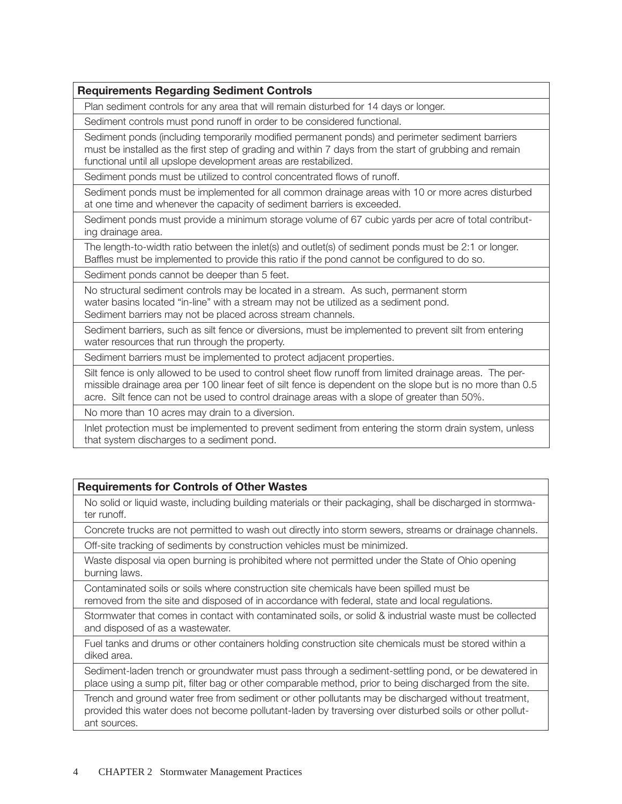# Requirements Regarding Sediment Controls

Plan sediment controls for any area that will remain disturbed for 14 days or longer.

Sediment controls must pond runoff in order to be considered functional.

Sediment ponds (including temporarily modified permanent ponds) and perimeter sediment barriers must be installed as the first step of grading and within 7 days from the start of grubbing and remain functional until all upslope development areas are restabilized.

Sediment ponds must be utilized to control concentrated flows of runoff.

Sediment ponds must be implemented for all common drainage areas with 10 or more acres disturbed at one time and whenever the capacity of sediment barriers is exceeded.

Sediment ponds must provide a minimum storage volume of 67 cubic yards per acre of total contributing drainage area.

The length-to-width ratio between the inlet(s) and outlet(s) of sediment ponds must be 2:1 or longer. Baffles must be implemented to provide this ratio if the pond cannot be configured to do so.

Sediment ponds cannot be deeper than 5 feet.

No structural sediment controls may be located in a stream. As such, permanent storm water basins located "in-line" with a stream may not be utilized as a sediment pond. Sediment barriers may not be placed across stream channels.

Sediment barriers, such as silt fence or diversions, must be implemented to prevent silt from entering water resources that run through the property.

Sediment barriers must be implemented to protect adjacent properties.

Silt fence is only allowed to be used to control sheet flow runoff from limited drainage areas. The permissible drainage area per 100 linear feet of silt fence is dependent on the slope but is no more than 0.5 acre. Silt fence can not be used to control drainage areas with a slope of greater than 50%.

No more than 10 acres may drain to a diversion.

Inlet protection must be implemented to prevent sediment from entering the storm drain system, unless that system discharges to a sediment pond.

# Requirements for Controls of Other Wastes

No solid or liquid waste, including building materials or their packaging, shall be discharged in stormwater runoff.

Concrete trucks are not permitted to wash out directly into storm sewers, streams or drainage channels.

Off-site tracking of sediments by construction vehicles must be minimized.

Waste disposal via open burning is prohibited where not permitted under the State of Ohio opening burning laws.

Contaminated soils or soils where construction site chemicals have been spilled must be removed from the site and disposed of in accordance with federal, state and local regulations.

Stormwater that comes in contact with contaminated soils, or solid & industrial waste must be collected and disposed of as a wastewater.

Fuel tanks and drums or other containers holding construction site chemicals must be stored within a diked area.

Sediment-laden trench or groundwater must pass through a sediment-settling pond, or be dewatered in place using a sump pit, filter bag or other comparable method, prior to being discharged from the site.

Trench and ground water free from sediment or other pollutants may be discharged without treatment, provided this water does not become pollutant-laden by traversing over disturbed soils or other pollutant sources.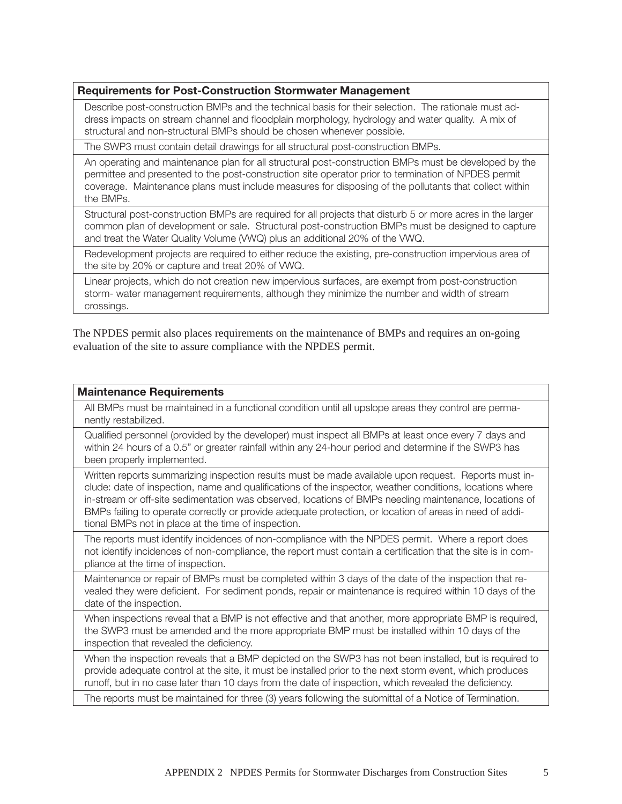## Requirements for Post-Construction Stormwater Management

Describe post-construction BMPs and the technical basis for their selection. The rationale must address impacts on stream channel and floodplain morphology, hydrology and water quality. A mix of structural and non-structural BMPs should be chosen whenever possible.

The SWP3 must contain detail drawings for all structural post-construction BMPs.

An operating and maintenance plan for all structural post-construction BMPs must be developed by the permittee and presented to the post-construction site operator prior to termination of NPDES permit coverage. Maintenance plans must include measures for disposing of the pollutants that collect within the BMPs.

Structural post-construction BMPs are required for all projects that disturb 5 or more acres in the larger common plan of development or sale. Structural post-construction BMPs must be designed to capture and treat the Water Quality Volume (VWQ) plus an additional 20% of the VWQ.

Redevelopment projects are required to either reduce the existing, pre-construction impervious area of the site by 20% or capture and treat 20% of VWQ.

Linear projects, which do not creation new impervious surfaces, are exempt from post-construction storm- water management requirements, although they minimize the number and width of stream crossings.

The NPDES permit also places requirements on the maintenance of BMPs and requires an on-going evaluation of the site to assure compliance with the NPDES permit.

#### Maintenance Requirements

All BMPs must be maintained in a functional condition until all upslope areas they control are permanently restabilized.

Qualified personnel (provided by the developer) must inspect all BMPs at least once every 7 days and within 24 hours of a 0.5" or greater rainfall within any 24-hour period and determine if the SWP3 has been properly implemented.

Written reports summarizing inspection results must be made available upon request. Reports must include: date of inspection, name and qualifications of the inspector, weather conditions, locations where in-stream or off-site sedimentation was observed, locations of BMPs needing maintenance, locations of BMPs failing to operate correctly or provide adequate protection, or location of areas in need of additional BMPs not in place at the time of inspection.

The reports must identify incidences of non-compliance with the NPDES permit. Where a report does not identify incidences of non-compliance, the report must contain a certification that the site is in compliance at the time of inspection.

Maintenance or repair of BMPs must be completed within 3 days of the date of the inspection that revealed they were deficient. For sediment ponds, repair or maintenance is required within 10 days of the date of the inspection.

When inspections reveal that a BMP is not effective and that another, more appropriate BMP is required, the SWP3 must be amended and the more appropriate BMP must be installed within 10 days of the inspection that revealed the deficiency.

When the inspection reveals that a BMP depicted on the SWP3 has not been installed, but is required to provide adequate control at the site, it must be installed prior to the next storm event, which produces runoff, but in no case later than 10 days from the date of inspection, which revealed the deficiency.

The reports must be maintained for three (3) years following the submittal of a Notice of Termination.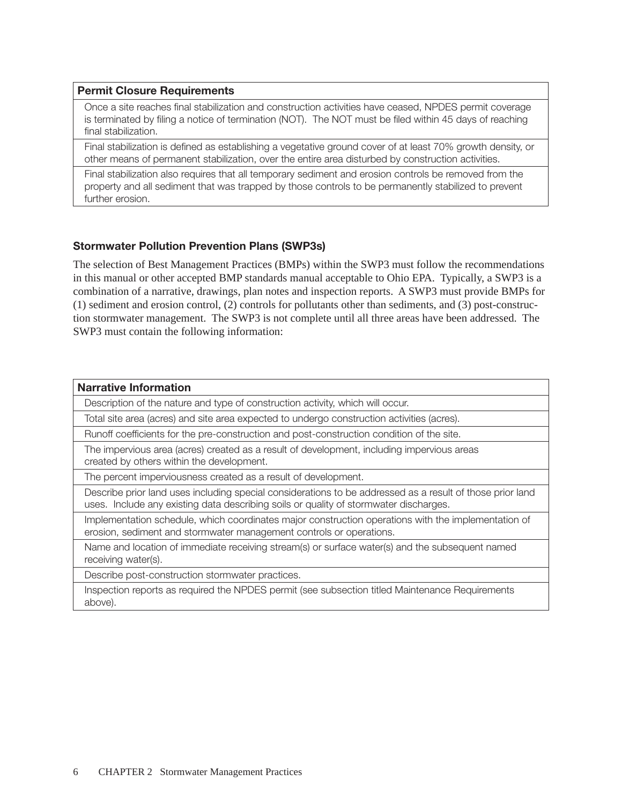## Permit Closure Requirements

Once a site reaches final stabilization and construction activities have ceased, NPDES permit coverage is terminated by filing a notice of termination (NOT). The NOT must be filed within 45 days of reaching final stabilization.

Final stabilization is defined as establishing a vegetative ground cover of at least 70% growth density, or other means of permanent stabilization, over the entire area disturbed by construction activities.

Final stabilization also requires that all temporary sediment and erosion controls be removed from the property and all sediment that was trapped by those controls to be permanently stabilized to prevent further erosion.

# Stormwater Pollution Prevention Plans (SWP3s)

The selection of Best Management Practices (BMPs) within the SWP3 must follow the recommendations in this manual or other accepted BMP standards manual acceptable to Ohio EPA. Typically, a SWP3 is a combination of a narrative, drawings, plan notes and inspection reports. A SWP3 must provide BMPs for (1) sediment and erosion control, (2) controls for pollutants other than sediments, and (3) post-construction stormwater management. The SWP3 is not complete until all three areas have been addressed. The SWP3 must contain the following information:

| <b>Narrative Information</b>                                                                                                                                                                       |
|----------------------------------------------------------------------------------------------------------------------------------------------------------------------------------------------------|
| Description of the nature and type of construction activity, which will occur.                                                                                                                     |
| Total site area (acres) and site area expected to undergo construction activities (acres).                                                                                                         |
| Runoff coefficients for the pre-construction and post-construction condition of the site.                                                                                                          |
| The impervious area (acres) created as a result of development, including impervious areas<br>created by others within the development.                                                            |
| The percent imperviousness created as a result of development.                                                                                                                                     |
| Describe prior land uses including special considerations to be addressed as a result of those prior land<br>uses. Include any existing data describing soils or quality of stormwater discharges. |
| Implementation schedule, which coordinates major construction operations with the implementation of<br>erosion, sediment and stormwater management controls or operations.                         |
| Name and location of immediate receiving stream(s) or surface water(s) and the subsequent named<br>receiving water(s).                                                                             |
| Describe post-construction stormwater practices.                                                                                                                                                   |
| Inspection reports as required the NPDES permit (see subsection titled Maintenance Requirements<br>above).                                                                                         |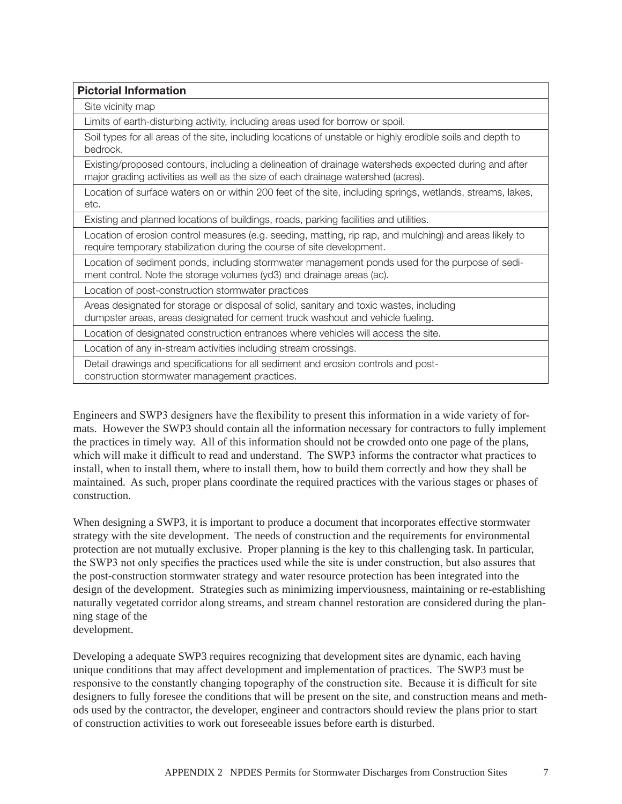| <b>Pictorial Information</b>                                                                                                                                                             |
|------------------------------------------------------------------------------------------------------------------------------------------------------------------------------------------|
| Site vicinity map                                                                                                                                                                        |
| Limits of earth-disturbing activity, including areas used for borrow or spoil.                                                                                                           |
| Soil types for all areas of the site, including locations of unstable or highly erodible soils and depth to<br>bedrock.                                                                  |
| Existing/proposed contours, including a delineation of drainage watersheds expected during and after<br>major grading activities as well as the size of each drainage watershed (acres). |
| Location of surface waters on or within 200 feet of the site, including springs, wetlands, streams, lakes,<br>etc.                                                                       |
| Existing and planned locations of buildings, roads, parking facilities and utilities.                                                                                                    |
| Location of erosion control measures (e.g. seeding, matting, rip rap, and mulching) and areas likely to<br>require temporary stabilization during the course of site development.        |
| Location of sediment ponds, including stormwater management ponds used for the purpose of sedi-<br>ment control. Note the storage volumes (yd3) and drainage areas (ac).                 |
| Location of post-construction stormwater practices                                                                                                                                       |
| Areas designated for storage or disposal of solid, sanitary and toxic wastes, including<br>dumpster areas, areas designated for cement truck washout and vehicle fueling.                |
| Location of designated construction entrances where vehicles will access the site.                                                                                                       |
| Location of any in-stream activities including stream crossings.                                                                                                                         |
| Detail drawings and specifications for all sediment and erosion controls and post-<br>construction stormwater management practices.                                                      |

Engineers and SWP3 designers have the flexibility to present this information in a wide variety of formats. However the SWP3 should contain all the information necessary for contractors to fully implement the practices in timely way. All of this information should not be crowded onto one page of the plans, which will make it difficult to read and understand. The SWP3 informs the contractor what practices to install, when to install them, where to install them, how to build them correctly and how they shall be maintained. As such, proper plans coordinate the required practices with the various stages or phases of construction.

When designing a SWP3, it is important to produce a document that incorporates effective stormwater strategy with the site development. The needs of construction and the requirements for environmental protection are not mutually exclusive. Proper planning is the key to this challenging task. In particular, the SWP3 not only specifies the practices used while the site is under construction, but also assures that the post-construction stormwater strategy and water resource protection has been integrated into the design of the development. Strategies such as minimizing imperviousness, maintaining or re-establishing naturally vegetated corridor along streams, and stream channel restoration are considered during the planning stage of the development.

Developing a adequate SWP3 requires recognizing that development sites are dynamic, each having unique conditions that may affect development and implementation of practices. The SWP3 must be responsive to the constantly changing topography of the construction site. Because it is difficult for site designers to fully foresee the conditions that will be present on the site, and construction means and methods used by the contractor, the developer, engineer and contractors should review the plans prior to start of construction activities to work out foreseeable issues before earth is disturbed.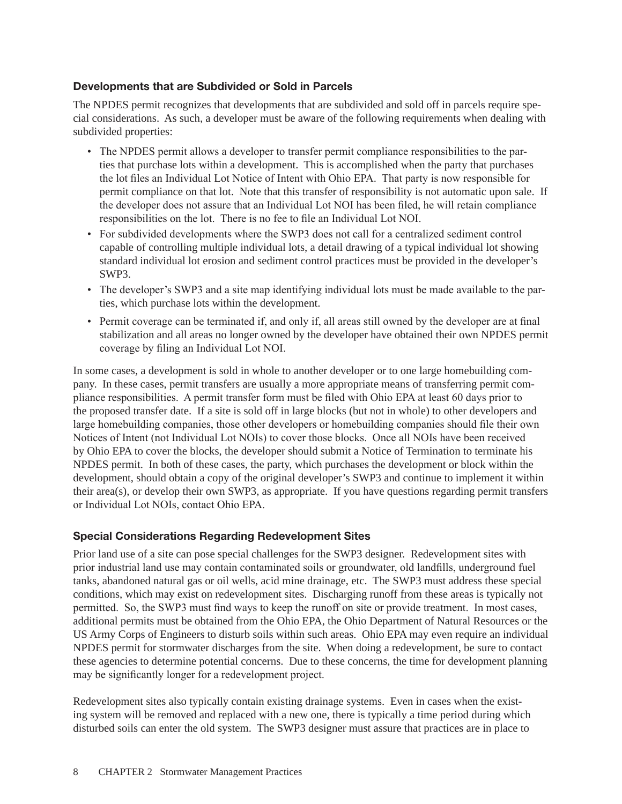# Developments that are Subdivided or Sold in Parcels

The NPDES permit recognizes that developments that are subdivided and sold off in parcels require special considerations. As such, a developer must be aware of the following requirements when dealing with subdivided properties:

- The NPDES permit allows a developer to transfer permit compliance responsibilities to the parties that purchase lots within a development. This is accomplished when the party that purchases the lot files an Individual Lot Notice of Intent with Ohio EPA. That party is now responsible for permit compliance on that lot. Note that this transfer of responsibility is not automatic upon sale. If the developer does not assure that an Individual Lot NOI has been filed, he will retain compliance responsibilities on the lot. There is no fee to file an Individual Lot NOI.
- For subdivided developments where the SWP3 does not call for a centralized sediment control capable of controlling multiple individual lots, a detail drawing of a typical individual lot showing standard individual lot erosion and sediment control practices must be provided in the developer's SWP3.
- The developer's SWP3 and a site map identifying individual lots must be made available to the parties, which purchase lots within the development.
- Permit coverage can be terminated if, and only if, all areas still owned by the developer are at final stabilization and all areas no longer owned by the developer have obtained their own NPDES permit coverage by filing an Individual Lot NOI.

In some cases, a development is sold in whole to another developer or to one large homebuilding company. In these cases, permit transfers are usually a more appropriate means of transferring permit compliance responsibilities. A permit transfer form must be filed with Ohio EPA at least 60 days prior to the proposed transfer date. If a site is sold off in large blocks (but not in whole) to other developers and large homebuilding companies, those other developers or homebuilding companies should file their own Notices of Intent (not Individual Lot NOIs) to cover those blocks. Once all NOIs have been received by Ohio EPA to cover the blocks, the developer should submit a Notice of Termination to terminate his NPDES permit. In both of these cases, the party, which purchases the development or block within the development, should obtain a copy of the original developer's SWP3 and continue to implement it within their area(s), or develop their own SWP3, as appropriate. If you have questions regarding permit transfers or Individual Lot NOIs, contact Ohio EPA.

# Special Considerations Regarding Redevelopment Sites

Prior land use of a site can pose special challenges for the SWP3 designer. Redevelopment sites with prior industrial land use may contain contaminated soils or groundwater, old landfills, underground fuel tanks, abandoned natural gas or oil wells, acid mine drainage, etc. The SWP3 must address these special conditions, which may exist on redevelopment sites. Discharging runoff from these areas is typically not permitted. So, the SWP3 must find ways to keep the runoff on site or provide treatment. In most cases, additional permits must be obtained from the Ohio EPA, the Ohio Department of Natural Resources or the US Army Corps of Engineers to disturb soils within such areas. Ohio EPA may even require an individual NPDES permit for stormwater discharges from the site. When doing a redevelopment, be sure to contact these agencies to determine potential concerns. Due to these concerns, the time for development planning may be significantly longer for a redevelopment project.

Redevelopment sites also typically contain existing drainage systems. Even in cases when the existing system will be removed and replaced with a new one, there is typically a time period during which disturbed soils can enter the old system. The SWP3 designer must assure that practices are in place to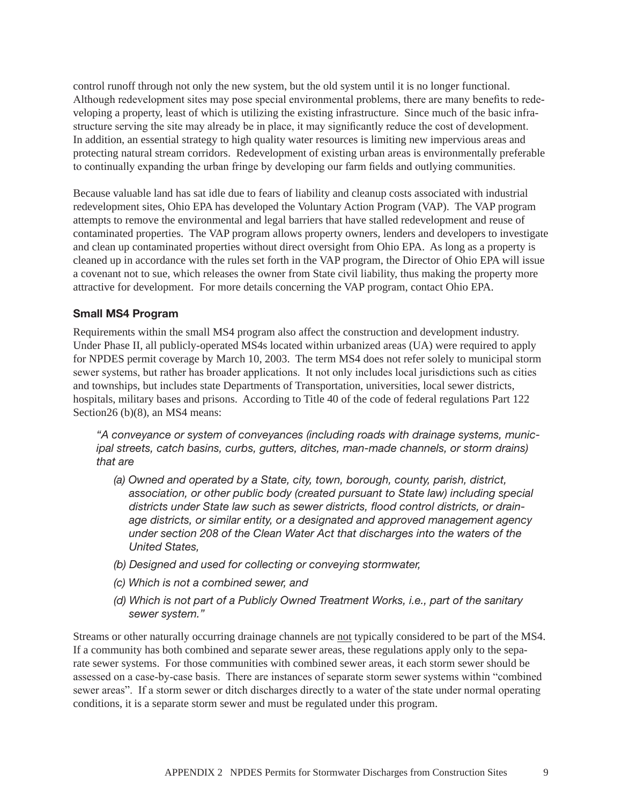control runoff through not only the new system, but the old system until it is no longer functional. Although redevelopment sites may pose special environmental problems, there are many benefits to redeveloping a property, least of which is utilizing the existing infrastructure. Since much of the basic infrastructure serving the site may already be in place, it may significantly reduce the cost of development. In addition, an essential strategy to high quality water resources is limiting new impervious areas and protecting natural stream corridors. Redevelopment of existing urban areas is environmentally preferable to continually expanding the urban fringe by developing our farm fields and outlying communities.

Because valuable land has sat idle due to fears of liability and cleanup costs associated with industrial redevelopment sites, Ohio EPA has developed the Voluntary Action Program (VAP). The VAP program attempts to remove the environmental and legal barriers that have stalled redevelopment and reuse of contaminated properties. The VAP program allows property owners, lenders and developers to investigate and clean up contaminated properties without direct oversight from Ohio EPA. As long as a property is cleaned up in accordance with the rules set forth in the VAP program, the Director of Ohio EPA will issue a covenant not to sue, which releases the owner from State civil liability, thus making the property more attractive for development. For more details concerning the VAP program, contact Ohio EPA.

# Small MS4 Program

Requirements within the small MS4 program also affect the construction and development industry. Under Phase II, all publicly-operated MS4s located within urbanized areas (UA) were required to apply for NPDES permit coverage by March 10, 2003. The term MS4 does not refer solely to municipal storm sewer systems, but rather has broader applications. It not only includes local jurisdictions such as cities and townships, but includes state Departments of Transportation, universities, local sewer districts, hospitals, military bases and prisons. According to Title 40 of the code of federal regulations Part 122 Section26 (b)(8), an MS4 means:

*"A conveyance or system of conveyances (including roads with drainage systems, municipal streets, catch basins, curbs, gutters, ditches, man-made channels, or storm drains) that are* 

- *(a) Owned and operated by a State, city, town, borough, county, parish, district, association, or other public body (created pursuant to State law) including special districts under State law such as sewer districts, flood control districts, or drainage districts, or similar entity, or a designated and approved management agency under section 208 of the Clean Water Act that discharges into the waters of the United States,*
- *(b) Designed and used for collecting or conveying stormwater,*
- *(c) Which is not a combined sewer, and*
- *(d) Which is not part of a Publicly Owned Treatment Works, i.e., part of the sanitary sewer system."*

Streams or other naturally occurring drainage channels are not typically considered to be part of the MS4. If a community has both combined and separate sewer areas, these regulations apply only to the separate sewer systems. For those communities with combined sewer areas, it each storm sewer should be assessed on a case-by-case basis. There are instances of separate storm sewer systems within "combined sewer areas". If a storm sewer or ditch discharges directly to a water of the state under normal operating conditions, it is a separate storm sewer and must be regulated under this program.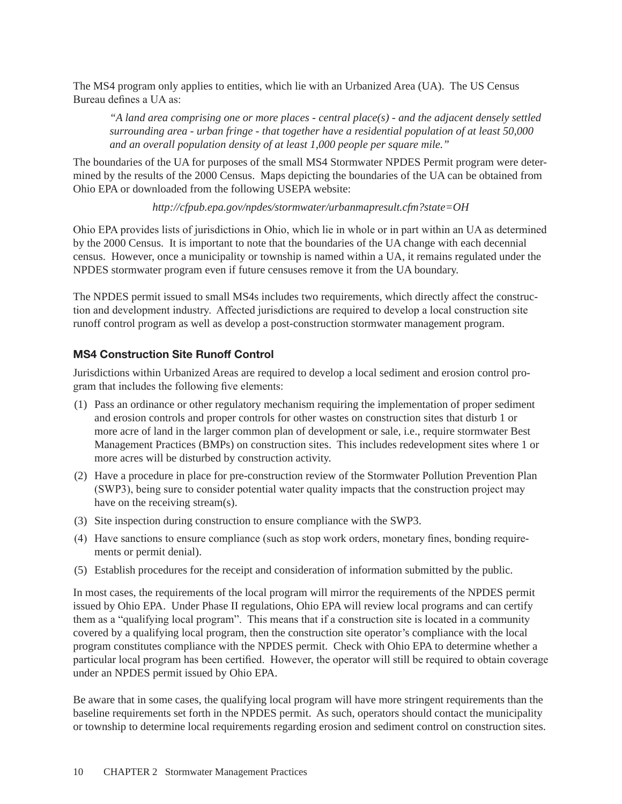The MS4 program only applies to entities, which lie with an Urbanized Area (UA). The US Census Bureau defines a UA as:

*"A land area comprising one or more places - central place(s) - and the adjacent densely settled surrounding area - urban fringe - that together have a residential population of at least 50,000 and an overall population density of at least 1,000 people per square mile."*

The boundaries of the UA for purposes of the small MS4 Stormwater NPDES Permit program were determined by the results of the 2000 Census. Maps depicting the boundaries of the UA can be obtained from Ohio EPA or downloaded from the following USEPA website:

*http://cfpub.epa.gov/npdes/stormwater/urbanmapresult.cfm?state=OH* 

Ohio EPA provides lists of jurisdictions in Ohio, which lie in whole or in part within an UA as determined by the 2000 Census. It is important to note that the boundaries of the UA change with each decennial census. However, once a municipality or township is named within a UA, it remains regulated under the NPDES stormwater program even if future censuses remove it from the UA boundary.

The NPDES permit issued to small MS4s includes two requirements, which directly affect the construction and development industry. Affected jurisdictions are required to develop a local construction site runoff control program as well as develop a post-construction stormwater management program.

# MS4 Construction Site Runoff Control

Jurisdictions within Urbanized Areas are required to develop a local sediment and erosion control program that includes the following five elements:

- (1) Pass an ordinance or other regulatory mechanism requiring the implementation of proper sediment and erosion controls and proper controls for other wastes on construction sites that disturb 1 or more acre of land in the larger common plan of development or sale, i.e., require stormwater Best Management Practices (BMPs) on construction sites. This includes redevelopment sites where 1 or more acres will be disturbed by construction activity.
- (2) Have a procedure in place for pre-construction review of the Stormwater Pollution Prevention Plan (SWP3), being sure to consider potential water quality impacts that the construction project may have on the receiving stream(s).
- (3) Site inspection during construction to ensure compliance with the SWP3.
- (4) Have sanctions to ensure compliance (such as stop work orders, monetary fines, bonding requirements or permit denial).
- (5) Establish procedures for the receipt and consideration of information submitted by the public.

In most cases, the requirements of the local program will mirror the requirements of the NPDES permit issued by Ohio EPA. Under Phase II regulations, Ohio EPA will review local programs and can certify them as a "qualifying local program". This means that if a construction site is located in a community covered by a qualifying local program, then the construction site operator's compliance with the local program constitutes compliance with the NPDES permit. Check with Ohio EPA to determine whether a particular local program has been certified. However, the operator will still be required to obtain coverage under an NPDES permit issued by Ohio EPA.

Be aware that in some cases, the qualifying local program will have more stringent requirements than the baseline requirements set forth in the NPDES permit. As such, operators should contact the municipality or township to determine local requirements regarding erosion and sediment control on construction sites.